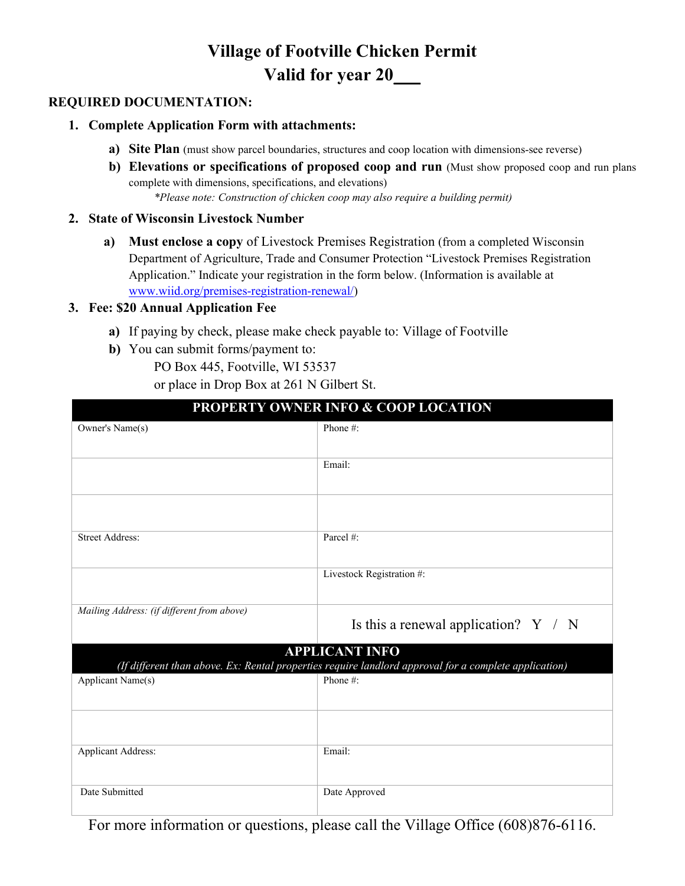# **Village of Footville Chicken Permit Valid for year 20\_\_\_**

### **REQUIRED DOCUMENTATION:**

#### **1. Complete Application Form with attachments:**

- **a) Site Plan** (must show parcel boundaries, structures and coop location with dimensions-see reverse)
- **b) Elevations or specifications of proposed coop and run** (Must show proposed coop and run plans complete with dimensions, specifications, and elevations)

*\*Please note: Construction of chicken coop may also require a building permit)*

#### **2. State of Wisconsin Livestock Number**

**a) Must enclose a copy** of Livestock Premises Registration (from a completed Wisconsin Department of Agriculture, Trade and Consumer Protection "Livestock Premises Registration Application." Indicate your registration in the form below. (Information is available at [www.wiid.org/premises-registration-renewal/\)](http://www.wiid.org/premises-registration-renewal/)

#### **3. Fee: \$20 Annual Application Fee**

- **a)** If paying by check, please make check payable to: Village of Footville
- **b)** You can submit forms/payment to:
	- PO Box 445, Footville, WI 53537

or place in Drop Box at 261 N Gilbert St.

| I KULENT E OWNER INFO & COUL LOCATION                                                                                          |                                        |
|--------------------------------------------------------------------------------------------------------------------------------|----------------------------------------|
| Owner's Name(s)                                                                                                                | Phone#:                                |
|                                                                                                                                |                                        |
|                                                                                                                                | Email:                                 |
|                                                                                                                                |                                        |
|                                                                                                                                |                                        |
|                                                                                                                                |                                        |
| <b>Street Address:</b>                                                                                                         | Parcel #:                              |
|                                                                                                                                |                                        |
|                                                                                                                                | Livestock Registration #:              |
| Mailing Address: (if different from above)                                                                                     |                                        |
|                                                                                                                                | Is this a renewal application? $Y / N$ |
| <b>APPLICANT INFO</b><br>(If different than above. Ex: Rental properties require landlord approval for a complete application) |                                        |
| Applicant Name(s)                                                                                                              | Phone#:                                |
|                                                                                                                                |                                        |
|                                                                                                                                |                                        |
| <b>Applicant Address:</b>                                                                                                      | Email:                                 |
|                                                                                                                                |                                        |
|                                                                                                                                |                                        |
| Date Submitted                                                                                                                 | Date Approved                          |

For more information or questions, please call the Village Office (608)876-6116.

# **PROPERTY OWNER INFO & COOP LOCATION**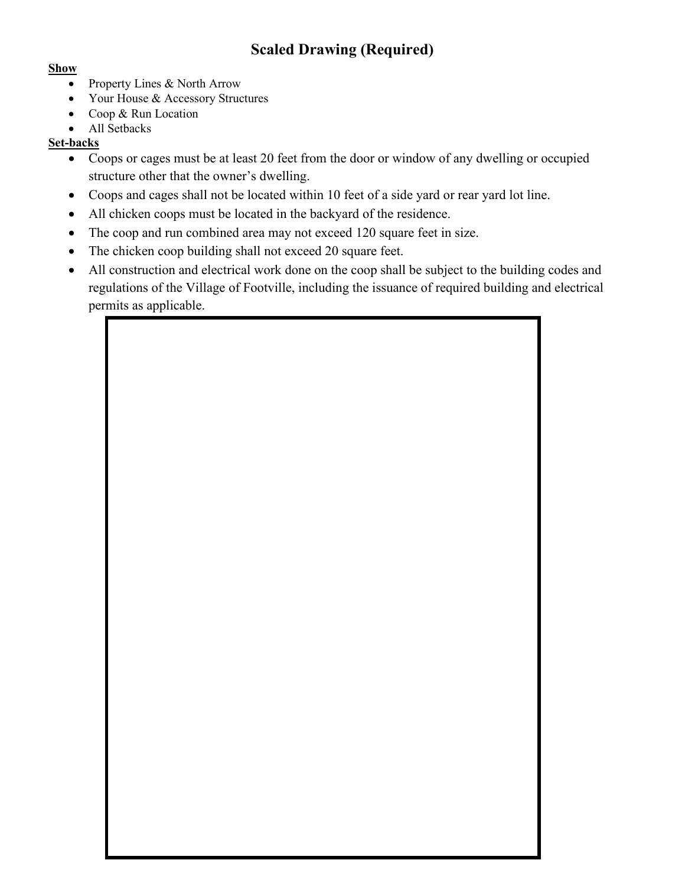# **Scaled Drawing (Required)**

#### **Show**

- Property Lines & North Arrow
- Your House & Accessory Structures
- Coop & Run Location
- All Setbacks

### **Set-backs**

- Coops or cages must be at least 20 feet from the door or window of any dwelling or occupied structure other that the owner's dwelling.
- Coops and cages shall not be located within 10 feet of a side yard or rear yard lot line.
- All chicken coops must be located in the backyard of the residence.
- The coop and run combined area may not exceed 120 square feet in size.
- The chicken coop building shall not exceed 20 square feet.
- All construction and electrical work done on the coop shall be subject to the building codes and regulations of the Village of Footville, including the issuance of required building and electrical permits as applicable.